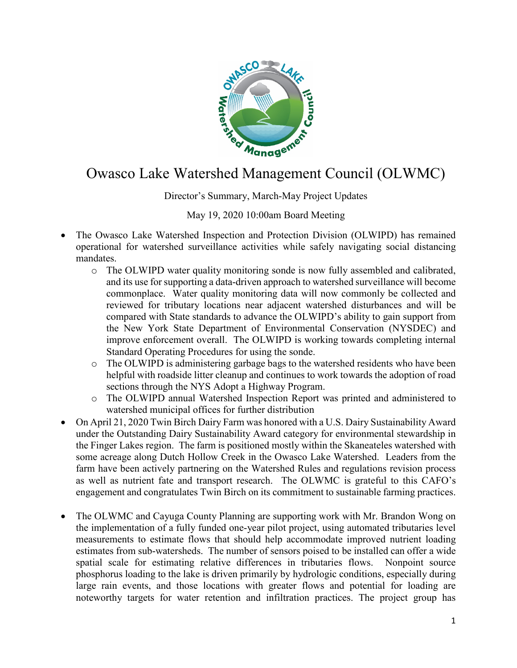

## Owasco Lake Watershed Management Council (OLWMC)

Director's Summary, March-May Project Updates

## May 19, 2020 10:00am Board Meeting

- The Owasco Lake Watershed Inspection and Protection Division (OLWIPD) has remained operational for watershed surveillance activities while safely navigating social distancing mandates.
	- o The OLWIPD water quality monitoring sonde is now fully assembled and calibrated, and its use for supporting a data-driven approach to watershed surveillance will become commonplace. Water quality monitoring data will now commonly be collected and reviewed for tributary locations near adjacent watershed disturbances and will be compared with State standards to advance the OLWIPD's ability to gain support from the New York State Department of Environmental Conservation (NYSDEC) and improve enforcement overall. The OLWIPD is working towards completing internal Standard Operating Procedures for using the sonde.
	- o The OLWIPD is administering garbage bags to the watershed residents who have been helpful with roadside litter cleanup and continues to work towards the adoption of road sections through the NYS Adopt a Highway Program.
	- o The OLWIPD annual Watershed Inspection Report was printed and administered to watershed municipal offices for further distribution
- On April 21, 2020 Twin Birch Dairy Farm was honored with a U.S. Dairy Sustainability Award under the Outstanding Dairy Sustainability Award category for environmental stewardship in the Finger Lakes region. The farm is positioned mostly within the Skaneateles watershed with some acreage along Dutch Hollow Creek in the Owasco Lake Watershed. Leaders from the farm have been actively partnering on the Watershed Rules and regulations revision process as well as nutrient fate and transport research. The OLWMC is grateful to this CAFO's engagement and congratulates Twin Birch on its commitment to sustainable farming practices.
- The OLWMC and Cayuga County Planning are supporting work with Mr. Brandon Wong on the implementation of a fully funded one-year pilot project, using automated tributaries level measurements to estimate flows that should help accommodate improved nutrient loading estimates from sub-watersheds. The number of sensors poised to be installed can offer a wide spatial scale for estimating relative differences in tributaries flows. Nonpoint source phosphorus loading to the lake is driven primarily by hydrologic conditions, especially during large rain events, and those locations with greater flows and potential for loading are noteworthy targets for water retention and infiltration practices. The project group has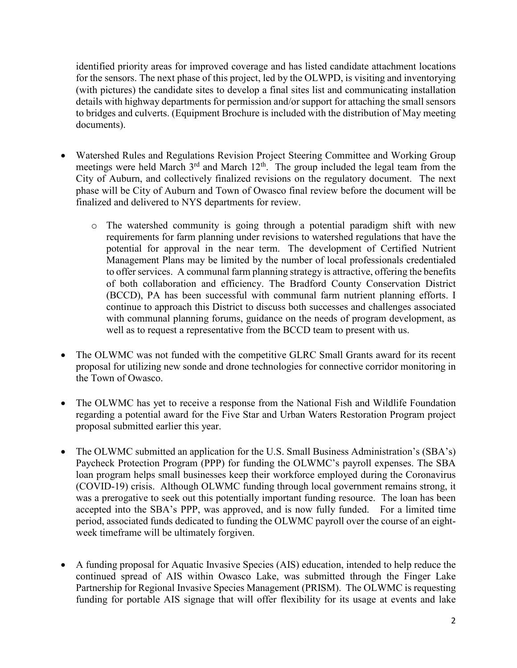identified priority areas for improved coverage and has listed candidate attachment locations for the sensors. The next phase of this project, led by the OLWPD, is visiting and inventorying (with pictures) the candidate sites to develop a final sites list and communicating installation details with highway departments for permission and/or support for attaching the small sensors to bridges and culverts. (Equipment Brochure is included with the distribution of May meeting documents).

- Watershed Rules and Regulations Revision Project Steering Committee and Working Group meetings were held March 3<sup>rd</sup> and March 12<sup>th</sup>. The group included the legal team from the City of Auburn, and collectively finalized revisions on the regulatory document. The next phase will be City of Auburn and Town of Owasco final review before the document will be finalized and delivered to NYS departments for review.
	- o The watershed community is going through a potential paradigm shift with new requirements for farm planning under revisions to watershed regulations that have the potential for approval in the near term. The development of Certified Nutrient Management Plans may be limited by the number of local professionals credentialed to offer services. A communal farm planning strategy is attractive, offering the benefits of both collaboration and efficiency. The Bradford County Conservation District (BCCD), PA has been successful with communal farm nutrient planning efforts. I continue to approach this District to discuss both successes and challenges associated with communal planning forums, guidance on the needs of program development, as well as to request a representative from the BCCD team to present with us.
- The OLWMC was not funded with the competitive GLRC Small Grants award for its recent proposal for utilizing new sonde and drone technologies for connective corridor monitoring in the Town of Owasco.
- The OLWMC has yet to receive a response from the National Fish and Wildlife Foundation regarding a potential award for the Five Star and Urban Waters Restoration Program project proposal submitted earlier this year.
- The OLWMC submitted an application for the U.S. Small Business Administration's (SBA's) Paycheck Protection Program (PPP) for funding the OLWMC's payroll expenses. The SBA loan program helps small businesses keep their workforce employed during the Coronavirus (COVID-19) crisis. Although OLWMC funding through local government remains strong, it was a prerogative to seek out this potentially important funding resource. The loan has been accepted into the SBA's PPP, was approved, and is now fully funded. For a limited time period, associated funds dedicated to funding the OLWMC payroll over the course of an eightweek timeframe will be ultimately forgiven.
- A funding proposal for Aquatic Invasive Species (AIS) education, intended to help reduce the continued spread of AIS within Owasco Lake, was submitted through the Finger Lake Partnership for Regional Invasive Species Management (PRISM). The OLWMC is requesting funding for portable AIS signage that will offer flexibility for its usage at events and lake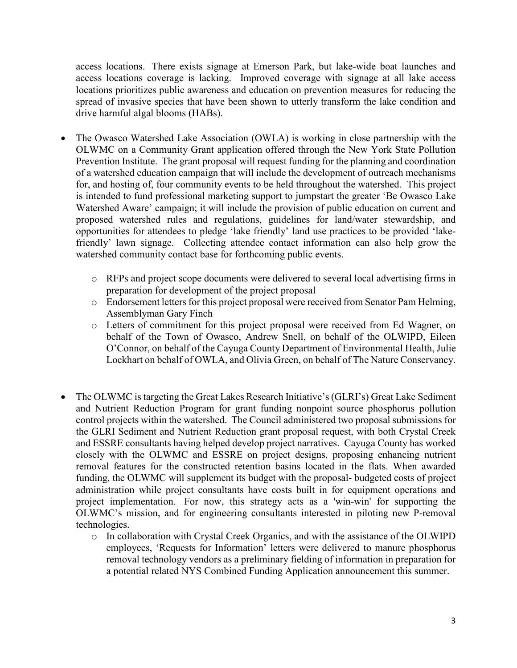access locations. There exists signage at Emerson Park, but lake-wide boat launches and access locations coverage is lacking. Improved coverage with signage at all lake access locations prioritizes public awareness and education on prevention measures for reducing the spread of invasive species that have been shown to utterly transform the lake condition and drive harmful algal blooms (HABs).

- The Owasco Watershed Lake Association (OWLA) is working in close partnership with the OLWMC on a Community Grant application offered through the New York State Pollution Prevention Institute. The grant proposal will request funding for the planning and coordination of a watershed education campaign that will include the development of outreach mechanisms for, and hosting of, four community events to be held throughout the watershed. This project is intended to fund professional marketing support to jumpstart the greater 'Be Owasco Lake Watershed Aware' campaign; it will include the provision of public education on current and proposed watershed rules and regulations, guidelines for land/water stewardship, and opportunities for attendees to pledge 'lake friendly' land use practices to be provided 'lakefriendly' lawn signage. Collecting attendee contact information can also help grow the watershed community contact base for forthcoming public events.
	- o RFPs and project scope documents were delivered to several local advertising firms in preparation for development of the project proposal
	- o Endorsement letters for this project proposal were received from Senator Pam Helming, Assemblyman Gary Finch
	- o Letters of commitment for this project proposal were received from Ed Wagner, on behalf of the Town of Owasco, Andrew Snell, on behalf of the OLWIPD, Eileen O'Connor, on behalf of the Cayuga County Department of Environmental Health, Julie Lockhart on behalf of OWLA, and Olivia Green, on behalf of The Nature Conservancy.
- The OLWMC is targeting the Great Lakes Research Initiative's (GLRI's) Great Lake Sediment and Nutrient Reduction Program for grant funding nonpoint source phosphorus pollution control projects within the watershed. The Council administered two proposal submissions for the GLRI Sediment and Nutrient Reduction grant proposal request, with both Crystal Creek and ESSRE consultants having helped develop project narratives. Cayuga County has worked closely with the OLWMC and ESSRE on project designs, proposing enhancing nutrient removal features for the constructed retention basins located in the flats. When awarded funding, the OLWMC will supplement its budget with the proposal- budgeted costs of project administration while project consultants have costs built in for equipment operations and project implementation. For now, this strategy acts as a 'win-win' for supporting the OLWMC's mission, and for engineering consultants interested in piloting new P-removal technologies.
	- o In collaboration with Crystal Creek Organics, and with the assistance of the OLWIPD employees, 'Requests for Information' letters were delivered to manure phosphorus removal technology vendors as a preliminary fielding of information in preparation for a potential related NYS Combined Funding Application announcement this summer.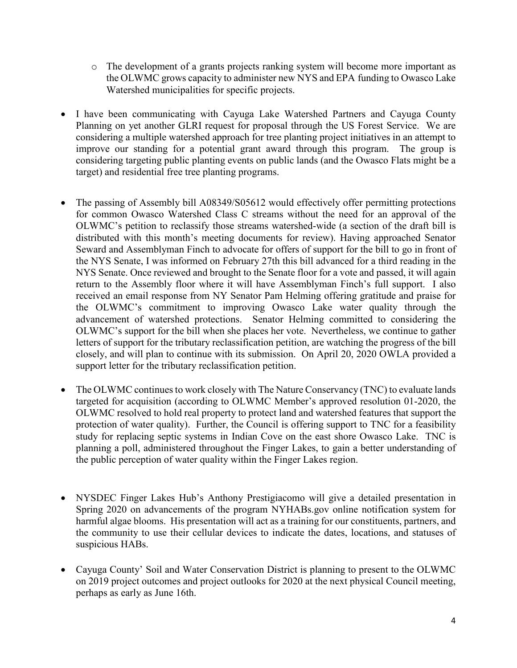- o The development of a grants projects ranking system will become more important as the OLWMC grows capacity to administer new NYS and EPA funding to Owasco Lake Watershed municipalities for specific projects.
- I have been communicating with Cayuga Lake Watershed Partners and Cayuga County Planning on yet another GLRI request for proposal through the US Forest Service. We are considering a multiple watershed approach for tree planting project initiatives in an attempt to improve our standing for a potential grant award through this program. The group is considering targeting public planting events on public lands (and the Owasco Flats might be a target) and residential free tree planting programs.
- The passing of Assembly bill A08349/S05612 would effectively offer permitting protections for common Owasco Watershed Class C streams without the need for an approval of the OLWMC's petition to reclassify those streams watershed-wide (a section of the draft bill is distributed with this month's meeting documents for review). Having approached Senator Seward and Assemblyman Finch to advocate for offers of support for the bill to go in front of the NYS Senate, I was informed on February 27th this bill advanced for a third reading in the NYS Senate. Once reviewed and brought to the Senate floor for a vote and passed, it will again return to the Assembly floor where it will have Assemblyman Finch's full support. I also received an email response from NY Senator Pam Helming offering gratitude and praise for the OLWMC's commitment to improving Owasco Lake water quality through the advancement of watershed protections. Senator Helming committed to considering the OLWMC's support for the bill when she places her vote. Nevertheless, we continue to gather letters of support for the tributary reclassification petition, are watching the progress of the bill closely, and will plan to continue with its submission. On April 20, 2020 OWLA provided a support letter for the tributary reclassification petition.
- The OLWMC continues to work closely with The Nature Conservancy (TNC) to evaluate lands targeted for acquisition (according to OLWMC Member's approved resolution 01-2020, the OLWMC resolved to hold real property to protect land and watershed features that support the protection of water quality). Further, the Council is offering support to TNC for a feasibility study for replacing septic systems in Indian Cove on the east shore Owasco Lake. TNC is planning a poll, administered throughout the Finger Lakes, to gain a better understanding of the public perception of water quality within the Finger Lakes region.
- NYSDEC Finger Lakes Hub's Anthony Prestigiacomo will give a detailed presentation in Spring 2020 on advancements of the program NYHABs.gov online notification system for harmful algae blooms. His presentation will act as a training for our constituents, partners, and the community to use their cellular devices to indicate the dates, locations, and statuses of suspicious HABs.
- Cayuga County' Soil and Water Conservation District is planning to present to the OLWMC on 2019 project outcomes and project outlooks for 2020 at the next physical Council meeting, perhaps as early as June 16th.